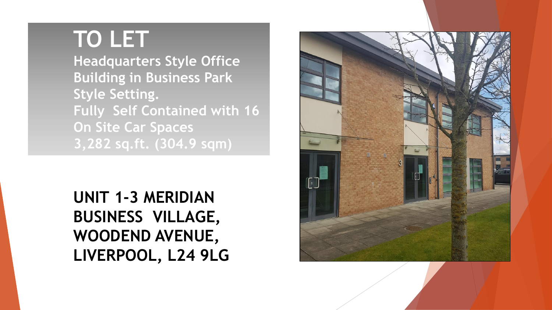# **TO LET**

**Headquarters Style Office Building in Business Park Style Setting. Fully Self Contained with 16 On Site Car Spaces 3,282 sq.ft. (304.9 sqm)**

# **UNIT 1-3 MERIDIAN BUSINESS VILLAGE, WOODEND AVENUE, LIVERPOOL, L24 9LG**

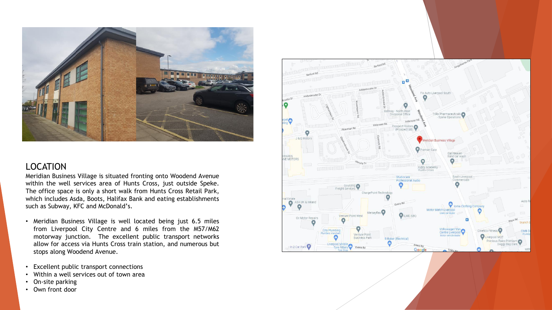

#### LOCATION

Meridian Business Village is situated fronting onto Woodend Avenue within the well services area of Hunts Cross, just outside Speke. The office space is only a short walk from Hunts Cross Retail Park, which includes Asda, Boots, Halifax Bank and eating establishments such as Subway, KFC and McDonald's.

- Meridian Business Village is well located being just 6.5 miles from Liverpool City Centre and 6 miles from the M57/M62 motorway junction. The excellent public transport networks allow for access via Hunts Cross train station, and numerous but stops along Woodend Avenue.
- Excellent public transport connections
- Within a well services out of town area
- On-site parking
- Own front door

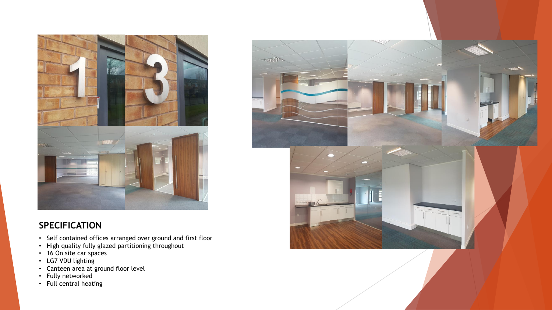

#### **SPECIFICATION**

- Self contained offices arranged over ground and first floor
- High quality fully glazed partitioning throughout
- 16 On site car spaces
- LG7 VDU lighting
- Canteen area at ground floor level
- Fully networked
- Full central heating